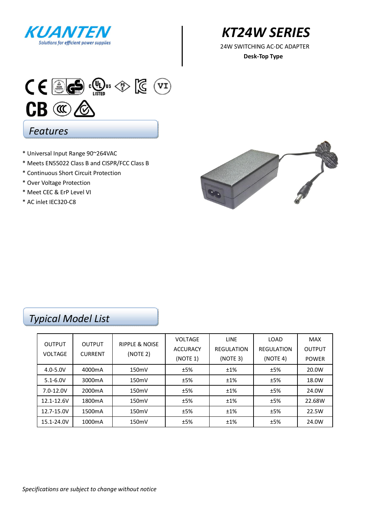

*KT24W SERIES* 

**Desk-Top Type** 



- \* Universal Input Range 90~264VAC
- \* Meets EN55022 Class B and CISPR/FCC Class B
- \* Continuous Short Circuit Protection
- \* Over Voltage Protection
- \* Meet CEC & ErP Level VI
- \* AC inlet IEC320-C8



## *Typical Model List*

|                                 |                                 |                           | <b>VOLTAGE</b>  | <b>LINE</b>       | LOAD              | <b>MAX</b>    |
|---------------------------------|---------------------------------|---------------------------|-----------------|-------------------|-------------------|---------------|
| <b>OUTPUT</b><br><b>VOLTAGE</b> | <b>OUTPUT</b><br><b>CURRENT</b> | <b>RIPPLE &amp; NOISE</b> | <b>ACCURACY</b> | <b>REGULATION</b> | <b>REGULATION</b> | <b>OUTPUT</b> |
|                                 |                                 | (NOTE 2)                  | (NOTE 1)        | (NOTE 3)          | (NOTE 4)          | <b>POWER</b>  |
| $4.0 - 5.0V$                    | 4000mA                          | 150mV                     | ±5%             | ±1%               | ±5%               | 20.0W         |
| $5.1 - 6.0V$                    | 3000mA                          | 150mV                     | ±5%             | ±1%               | ±5%               | 18.0W         |
| $7.0 - 12.0V$                   | 2000 <sub>m</sub> A             | 150mV                     | ±5%             | ±1%               | ±5%               | 24.0W         |
| 12.1-12.6V                      | 1800 <sub>m</sub> A             | 150mV                     | ±5%             | ±1%               | ±5%               | 22.68W        |
| 12.7-15.0V                      | 1500 <sub>m</sub> A             | 150mV                     | ±5%             | ±1%               | ±5%               | 22.5W         |
| 15.1-24.0V                      | 1000mA                          | 150mV                     | ±5%             | ±1%               | ±5%               | 24.0W         |